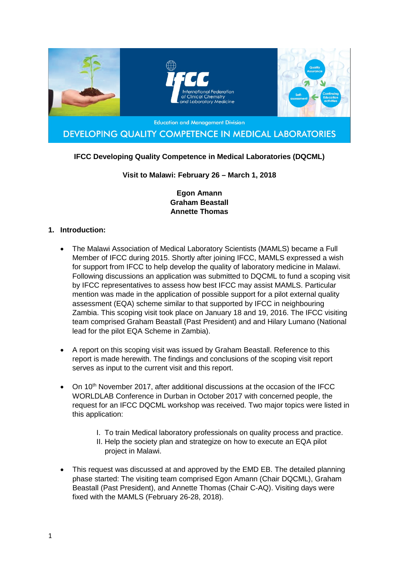

# **IFCC Developing Quality Competence in Medical Laboratories (DQCML)**

### **Visit to Malawi: February 26 – March 1, 2018**

### **Egon Amann Graham Beastall Annette Thomas**

### **1. Introduction:**

- The Malawi Association of Medical Laboratory Scientists (MAMLS) became a Full Member of IFCC during 2015. Shortly after joining IFCC, MAMLS expressed a wish for support from IFCC to help develop the quality of laboratory medicine in Malawi. Following discussions an application was submitted to DQCML to fund a scoping visit by IFCC representatives to assess how best IFCC may assist MAMLS. Particular mention was made in the application of possible support for a pilot external quality assessment (EQA) scheme similar to that supported by IFCC in neighbouring Zambia. This scoping visit took place on January 18 and 19, 2016. The IFCC visiting team comprised Graham Beastall (Past President) and and Hilary Lumano (National lead for the pilot EQA Scheme in Zambia).
- A report on this scoping visit was issued by Graham Beastall. Reference to this report is made herewith. The findings and conclusions of the scoping visit report serves as input to the current visit and this report.
- On 10<sup>th</sup> November 2017, after additional discussions at the occasion of the IFCC WORLDLAB Conference in Durban in October 2017 with concerned people, the request for an IFCC DQCML workshop was received. Two major topics were listed in this application:
	- I. To train Medical laboratory professionals on quality process and practice.
	- II. Help the society plan and strategize on how to execute an EQA pilot project in Malawi.
- This request was discussed at and approved by the EMD EB. The detailed planning phase started: The visiting team comprised Egon Amann (Chair DQCML), Graham Beastall (Past President), and Annette Thomas (Chair C-AQ). Visiting days were fixed with the MAMLS (February 26-28, 2018).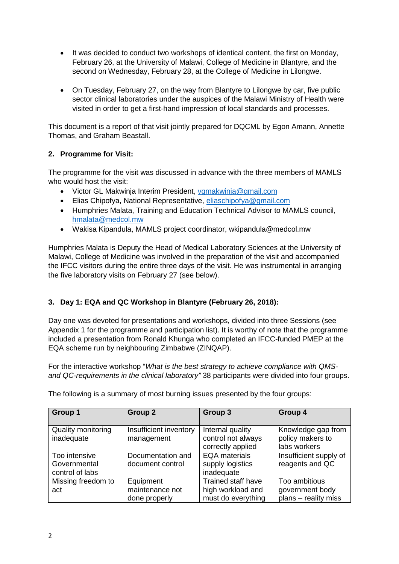- It was decided to conduct two workshops of identical content, the first on Monday, February 26, at the University of Malawi, College of Medicine in Blantyre, and the second on Wednesday, February 28, at the College of Medicine in Lilongwe.
- On Tuesday, February 27, on the way from Blantyre to Lilongwe by car, five public sector clinical laboratories under the auspices of the Malawi Ministry of Health were visited in order to get a first-hand impression of local standards and processes.

This document is a report of that visit jointly prepared for DQCML by Egon Amann, Annette Thomas, and Graham Beastall.

# **2. Programme for Visit:**

The programme for the visit was discussed in advance with the three members of MAMLS who would host the visit:

- Victor GL Makwinja Interim President, [vgmakwinja@gmail.com](mailto:vgmakwinja@gmail.com)
- Elias Chipofya, National Representative, [eliaschipofya@gmail.com](mailto:eliaschipofya@gmail.com)
- Humphries Malata, Training and Education Technical Advisor to MAMLS council, [hmalata@medcol.mw](mailto:hmalata@medcol.mw)
- Wakisa Kipandula, MAMLS project coordinator, wkipandula@medcol.mw

Humphries Malata is Deputy the Head of Medical Laboratory Sciences at the University of Malawi, College of Medicine was involved in the preparation of the visit and accompanied the IFCC visitors during the entire three days of the visit. He was instrumental in arranging the five laboratory visits on February 27 (see below).

### **3. Day 1: EQA and QC Workshop in Blantyre (February 26, 2018):**

Day one was devoted for presentations and workshops, divided into three Sessions (see Appendix 1 for the programme and participation list). It is worthy of note that the programme included a presentation from Ronald Khunga who completed an IFCC-funded PMEP at the EQA scheme run by neighbouring Zimbabwe (ZINQAP).

For the interactive workshop "*What is the best strategy to achieve compliance with QMSand QC-requirements in the clinical laboratory"* 38 participants were divided into four groups.

| Group 1                                          | Group 2                                       | Group 3                                                       | Group 4                                                  |
|--------------------------------------------------|-----------------------------------------------|---------------------------------------------------------------|----------------------------------------------------------|
| Quality monitoring<br>inadequate                 | Insufficient inventory<br>management          | Internal quality<br>control not always<br>correctly applied   | Knowledge gap from<br>policy makers to<br>labs workers   |
| Too intensive<br>Governmental<br>control of labs | Documentation and<br>document control         | <b>EQA</b> materials<br>supply logistics<br>inadequate        | Insufficient supply of<br>reagents and QC                |
| Missing freedom to<br>act                        | Equipment<br>maintenance not<br>done properly | Trained staff have<br>high workload and<br>must do everything | Too ambitious<br>government body<br>plans - reality miss |

The following is a summary of most burning issues presented by the four groups: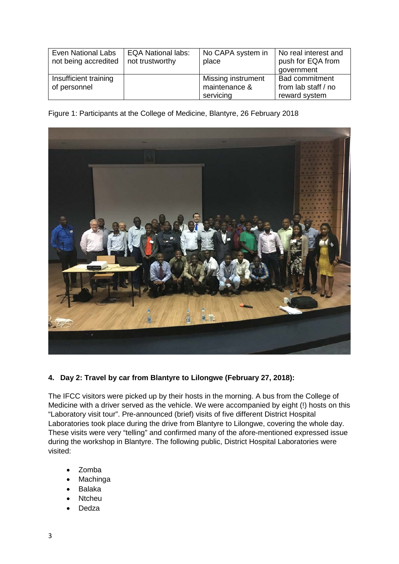| Even National Labs<br>not being accredited | <b>EQA National labs:</b><br>not trustworthy | No CAPA system in<br>place                       | No real interest and<br>push for EQA from<br>government       |
|--------------------------------------------|----------------------------------------------|--------------------------------------------------|---------------------------------------------------------------|
| Insufficient training<br>of personnel      |                                              | Missing instrument<br>maintenance &<br>servicing | <b>Bad commitment</b><br>from lab staff / no<br>reward system |

Figure 1: Participants at the College of Medicine, Blantyre, 26 February 2018



# **4. Day 2: Travel by car from Blantyre to Lilongwe (February 27, 2018):**

The IFCC visitors were picked up by their hosts in the morning. A bus from the College of Medicine with a driver served as the vehicle. We were accompanied by eight (!) hosts on this "Laboratory visit tour". Pre-announced (brief) visits of five different District Hospital Laboratories took place during the drive from Blantyre to Lilongwe, covering the whole day. These visits were very "telling" and confirmed many of the afore-mentioned expressed issue during the workshop in Blantyre. The following public, District Hospital Laboratories were visited:

- Zomba
- **Machinga**
- Balaka
- Ntcheu
- Dedza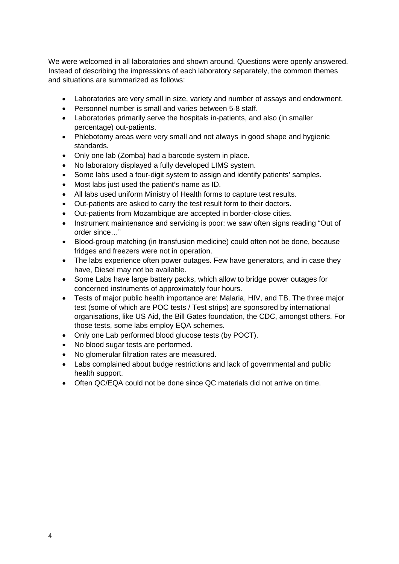We were welcomed in all laboratories and shown around. Questions were openly answered. Instead of describing the impressions of each laboratory separately, the common themes and situations are summarized as follows:

- Laboratories are very small in size, variety and number of assays and endowment.
- Personnel number is small and varies between 5-8 staff.
- Laboratories primarily serve the hospitals in-patients, and also (in smaller percentage) out-patients.
- Phlebotomy areas were very small and not always in good shape and hygienic standards.
- Only one lab (Zomba) had a barcode system in place.
- No laboratory displayed a fully developed LIMS system.
- Some labs used a four-digit system to assign and identify patients' samples.
- Most labs just used the patient's name as ID.
- All labs used uniform Ministry of Health forms to capture test results.
- Out-patients are asked to carry the test result form to their doctors.
- Out-patients from Mozambique are accepted in border-close cities.
- Instrument maintenance and servicing is poor: we saw often signs reading "Out of order since…"
- Blood-group matching (in transfusion medicine) could often not be done, because fridges and freezers were not in operation.
- The labs experience often power outages. Few have generators, and in case they have, Diesel may not be available.
- Some Labs have large battery packs, which allow to bridge power outages for concerned instruments of approximately four hours.
- Tests of major public health importance are: Malaria, HIV, and TB. The three major test (some of which are POC tests / Test strips) are sponsored by international organisations, like US Aid, the Bill Gates foundation, the CDC, amongst others. For those tests, some labs employ EQA schemes.
- Only one Lab performed blood glucose tests (by POCT).
- No blood sugar tests are performed.
- No glomerular filtration rates are measured.
- Labs complained about budge restrictions and lack of governmental and public health support.
- Often QC/EQA could not be done since QC materials did not arrive on time.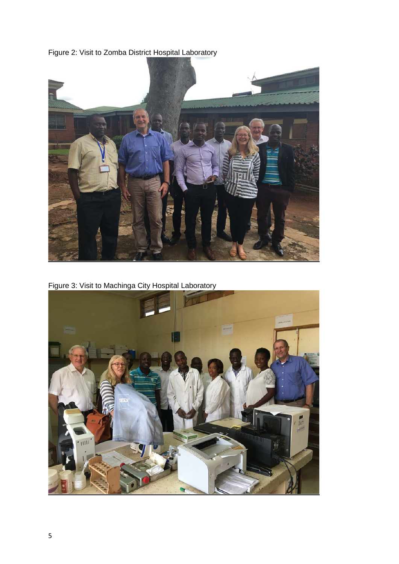



Figure 3: Visit to Machinga City Hospital Laboratory

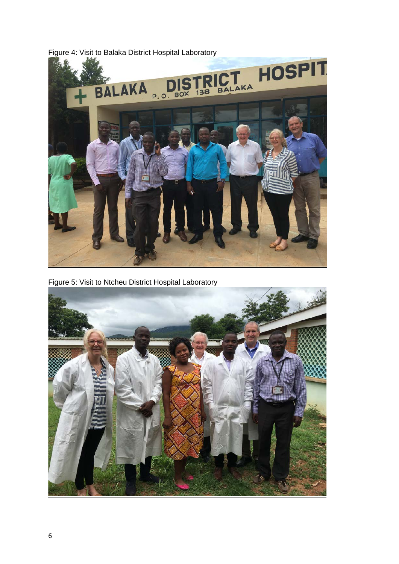

Figure 4: Visit to Balaka District Hospital Laboratory

Figure 5: Visit to Ntcheu District Hospital Laboratory

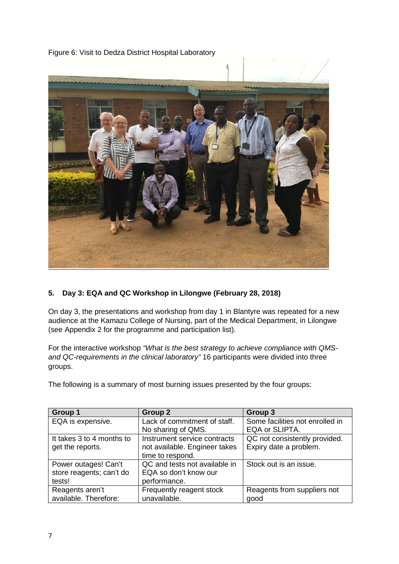Figure 6: Visit to Dedza District Hospital Laboratory



### **5. Day 3: EQA and QC Workshop in Lilongwe (February 28, 2018)**

On day 3, the presentations and workshop from day 1 in Blantyre was repeated for a new audience at the Kamazu College of Nursing, part of the Medical Department, in Lilongwe (see Appendix 2 for the programme and participation list).

For the interactive workshop *"What is the best strategy to achieve compliance with QMSand QC-requirements in the clinical laboratory"* 16 participants were divided into three groups.

The following is a summary of most burning issues presented by the four groups:

| <b>Group 1</b>            | Group 2                       | Group 3                         |
|---------------------------|-------------------------------|---------------------------------|
| EQA is expensive.         | Lack of commitment of staff.  | Some facilities not enrolled in |
|                           | No sharing of QMS.            | EQA or SLIPTA.                  |
| It takes 3 to 4 months to | Instrument service contracts  | QC not consistently provided.   |
| get the reports.          | not available. Engineer takes | Expiry date a problem.          |
|                           | time to respond.              |                                 |
| Power outages! Can't      | QC and tests not available in | Stock out is an issue.          |
| store reagents; can't do  | EQA so don't know our         |                                 |
| tests!                    | performance.                  |                                 |
| Reagents aren't           | Frequently reagent stock      | Reagents from suppliers not     |
| available. Therefore:     | unavailable.                  | good                            |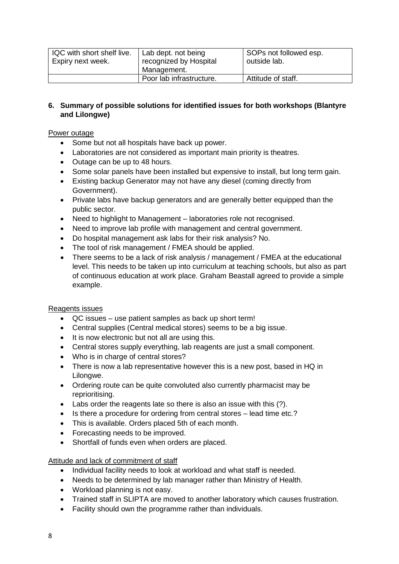| IQC with short shelf live.<br>Expiry next week. | Lab dept. not being<br>recognized by Hospital | SOPs not followed esp.<br>outside lab. |
|-------------------------------------------------|-----------------------------------------------|----------------------------------------|
|                                                 | Management.                                   |                                        |
|                                                 | Poor lab infrastructure.                      | Attitude of staff.                     |

### **6. Summary of possible solutions for identified issues for both workshops (Blantyre and Lilongwe)**

### Power outage

- Some but not all hospitals have back up power.
- Laboratories are not considered as important main priority is theatres.
- Outage can be up to 48 hours.
- Some solar panels have been installed but expensive to install, but long term gain.
- Existing backup Generator may not have any diesel (coming directly from Government).
- Private labs have backup generators and are generally better equipped than the public sector.
- Need to highlight to Management laboratories role not recognised.
- Need to improve lab profile with management and central government.
- Do hospital management ask labs for their risk analysis? No.
- The tool of risk management / FMEA should be applied.
- There seems to be a lack of risk analysis / management / FMEA at the educational level. This needs to be taken up into curriculum at teaching schools, but also as part of continuous education at work place. Graham Beastall agreed to provide a simple example.

### Reagents issues

- QC issues use patient samples as back up short term!
- Central supplies (Central medical stores) seems to be a big issue.
- It is now electronic but not all are using this.
- Central stores supply everything, lab reagents are just a small component.
- Who is in charge of central stores?
- There is now a lab representative however this is a new post, based in HQ in Lilongwe.
- Ordering route can be quite convoluted also currently pharmacist may be reprioritising.
- Labs order the reagents late so there is also an issue with this (?).
- Is there a procedure for ordering from central stores lead time etc.?
- This is available. Orders placed 5th of each month.
- Forecasting needs to be improved.
- Shortfall of funds even when orders are placed.

Attitude and lack of commitment of staff

- Individual facility needs to look at workload and what staff is needed.
- Needs to be determined by lab manager rather than Ministry of Health.
- Workload planning is not easy.
- Trained staff in SLIPTA are moved to another laboratory which causes frustration.
- Facility should own the programme rather than individuals.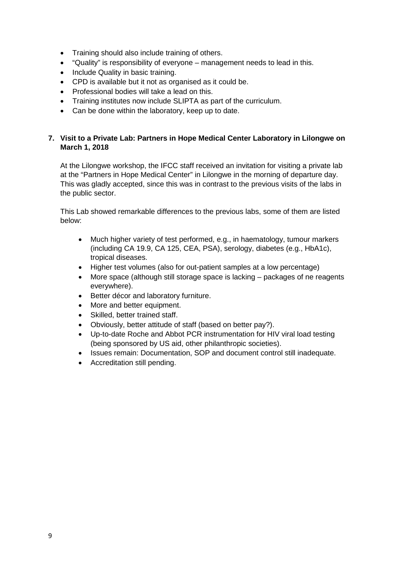- Training should also include training of others.
- "Quality" is responsibility of everyone management needs to lead in this.
- Include Quality in basic training.
- CPD is available but it not as organised as it could be.
- Professional bodies will take a lead on this.
- Training institutes now include SLIPTA as part of the curriculum.
- Can be done within the laboratory, keep up to date.

### **7. Visit to a Private Lab: Partners in Hope Medical Center Laboratory in Lilongwe on March 1, 2018**

At the Lilongwe workshop, the IFCC staff received an invitation for visiting a private lab at the "Partners in Hope Medical Center" in Lilongwe in the morning of departure day. This was gladly accepted, since this was in contrast to the previous visits of the labs in the public sector.

This Lab showed remarkable differences to the previous labs, some of them are listed below:

- Much higher variety of test performed, e.g., in haematology, tumour markers (including CA 19.9, CA 125, CEA, PSA), serology, diabetes (e.g., HbA1c), tropical diseases.
- Higher test volumes (also for out-patient samples at a low percentage)
- More space (although still storage space is lacking packages of ne reagents everywhere).
- Better décor and laboratory furniture.
- More and better equipment.
- Skilled, better trained staff.
- Obviously, better attitude of staff (based on better pay?).
- Up-to-date Roche and Abbot PCR instrumentation for HIV viral load testing (being sponsored by US aid, other philanthropic societies).
- Issues remain: Documentation, SOP and document control still inadequate.
- Accreditation still pending.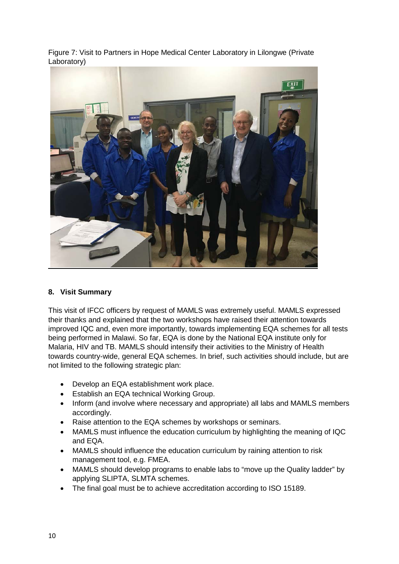Figure 7: Visit to Partners in Hope Medical Center Laboratory in Lilongwe (Private Laboratory)



#### **8. Visit Summary**

This visit of IFCC officers by request of MAMLS was extremely useful. MAMLS expressed their thanks and explained that the two workshops have raised their attention towards improved IQC and, even more importantly, towards implementing EQA schemes for all tests being performed in Malawi. So far, EQA is done by the National EQA institute only for Malaria, HIV and TB. MAMLS should intensify their activities to the Ministry of Health towards country-wide, general EQA schemes. In brief, such activities should include, but are not limited to the following strategic plan:

- Develop an EQA establishment work place.
- Establish an EQA technical Working Group.
- Inform (and involve where necessary and appropriate) all labs and MAMLS members accordingly.
- Raise attention to the EQA schemes by workshops or seminars.
- MAMLS must influence the education curriculum by highlighting the meaning of IQC and EQA.
- MAMLS should influence the education curriculum by raining attention to risk management tool, e.g. FMEA.
- MAMLS should develop programs to enable labs to "move up the Quality ladder" by applying SLIPTA, SLMTA schemes.
- The final goal must be to achieve accreditation according to ISO 15189.